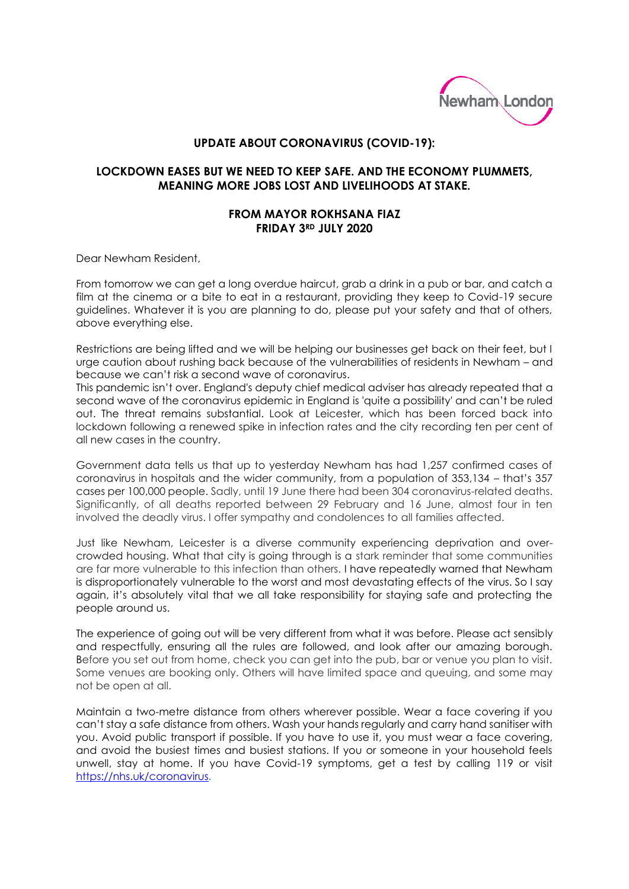

## **UPDATE ABOUT CORONAVIRUS (COVID-19):**

## **LOCKDOWN EASES BUT WE NEED TO KEEP SAFE. AND THE ECONOMY PLUMMETS, MEANING MORE JOBS LOST AND LIVELIHOODS AT STAKE.**

## **FROM MAYOR ROKHSANA FIAZ FRIDAY 3RD JULY 2020**

Dear Newham Resident,

From tomorrow we can get a long overdue haircut, grab a drink in a pub or bar, and catch a film at the cinema or a bite to eat in a restaurant, providing they keep to Covid-19 secure guidelines. Whatever it is you are planning to do, please put your safety and that of others, above everything else.

Restrictions are being lifted and we will be helping our businesses get back on their feet, but I urge caution about rushing back because of the vulnerabilities of residents in Newham – and because we can't risk a second wave of coronavirus.

This pandemic isn't over. England's deputy chief medical adviser has already repeated that a second wave of the coronavirus epidemic in England is 'quite a possibility' and can't be ruled out. The threat remains substantial. Look at Leicester, which has been forced back into lockdown following a renewed spike in infection rates and the city recording ten per cent of all new cases in the country.

Government data tells us that up to yesterday Newham has had 1,257 confirmed cases of coronavirus in hospitals and the wider community, from a population of 353,134 – that's 357 cases per 100,000 people. Sadly, until 19 June there had been 304 coronavirus-related deaths. Significantly, of all deaths reported between 29 February and 16 June, almost four in ten involved the deadly virus. I offer sympathy and condolences to all families affected.

Just like Newham, Leicester is a diverse community experiencing deprivation and overcrowded housing. What that city is going through is a stark reminder that some communities are far more vulnerable to this infection than others. I have repeatedly warned that Newham is disproportionately vulnerable to the worst and most devastating effects of the virus. So I say again, it's absolutely vital that we all take responsibility for staying safe and protecting the people around us.

The experience of going out will be very different from what it was before. Please act sensibly and respectfully, ensuring all the rules are followed, and look after our amazing borough. Before you set out from home, check you can get into the pub, bar or venue you plan to visit. Some venues are booking only. Others will have limited space and queuing, and some may not be open at all.

Maintain a two-metre distance from others wherever possible. Wear a face covering if you can't stay a safe distance from others. Wash your hands regularly and carry hand sanitiser with you. Avoid public transport if possible. If you have to use it, you must wear a face covering, and avoid the busiest times and busiest stations. If you or someone in your household feels unwell, stay at home. If you have Covid-19 symptoms, get a test by calling 119 or visit [https://nhs.uk/coronavirus.](https://nhs.uk/coronavirus)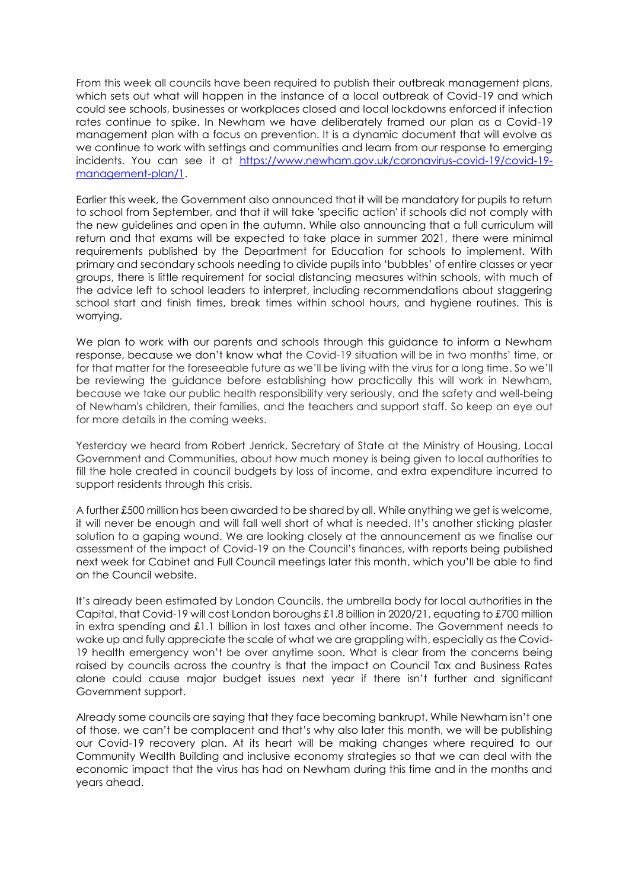From this week all councils have been required to publish their outbreak management plans, which sets out what will happen in the instance of a local outbreak of Covid-19 and which could see schools, businesses or workplaces closed and local lockdowns enforced if infection rates continue to spike. In Newham we have deliberately framed our plan as a Covid-19 management plan with a focus on prevention. It is a dynamic document that will evolve as we continue to work with settings and communities and learn from our response to emerging incidents. You can see it at [https://www.newham.gov.uk/coronavirus-covid-19/covid-19](https://www.newham.gov.uk/coronavirus-covid-19/covid-19-management-plan/1) [management-plan/1.](https://www.newham.gov.uk/coronavirus-covid-19/covid-19-management-plan/1)

Earlier this week, the Government also announced that it will be mandatory for pupils to return to school from September, and that it will take 'specific action' if schools did not comply with the new guidelines and open in the autumn. While also announcing that a full curriculum will return and that exams will be expected to take place in summer 2021, there were minimal requirements published by the Department for Education for schools to implement. With primary and secondary schools needing to divide pupils into 'bubbles' of entire classes or year groups, there is little requirement for social distancing measures within schools, with much of the advice left to school leaders to interpret, including recommendations about staggering school start and finish times, break times within school hours, and hygiene routines. This is worrying.

We plan to work with our parents and schools through this guidance to inform a Newham response, because we don't know what the Covid-19 situation will be in two months' time, or for that matter for the foreseeable future as we'll be living with the virus for a long time. So we'll be reviewing the guidance before establishing how practically this will work in Newham, because we take our public health responsibility very seriously, and the safety and well-being of Newham's children, their families, and the teachers and support staff. So keep an eye out for more details in the coming weeks.

Yesterday we heard from Robert Jenrick, Secretary of State at the Ministry of Housing, Local Government and Communities, about how much money is being given to local authorities to fill the hole created in council budgets by loss of income, and extra expenditure incurred to support residents through this crisis.

A further £500 million has been awarded to be shared by all. While anything we get is welcome, it will never be enough and will fall well short of what is needed. It's another sticking plaster solution to a gaping wound. We are looking closely at the announcement as we finalise our assessment of the impact of Covid-19 on the Council's finances, with reports being published next week for Cabinet and Full Council meetings later this month, which you'll be able to find on the Council website.

It's already been estimated by London Councils, the umbrella body for local authorities in the Capital, that Covid-19 will cost London boroughs £1.8 billion in 2020/21, equating to £700 million in extra spending and £1.1 billion in lost taxes and other income. The Government needs to wake up and fully appreciate the scale of what we are grappling with, especially as the Covid-19 health emergency won't be over anytime soon. What is clear from the concerns being raised by councils across the country is that the impact on Council Tax and Business Rates alone could cause major budget issues next year if there isn't further and significant Government support.

Already some councils are saying that they face becoming bankrupt. While Newham isn't one of those, we can't be complacent and that's why also later this month, we will be publishing our Covid-19 recovery plan. At its heart will be making changes where required to our Community Wealth Building and inclusive economy strategies so that we can deal with the economic impact that the virus has had on Newham during this time and in the months and years ahead.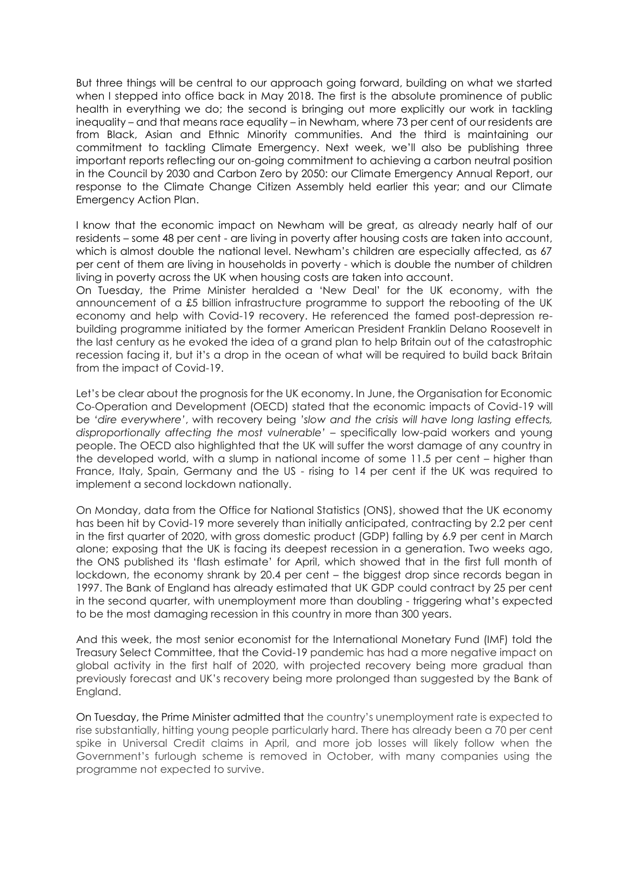But three things will be central to our approach going forward, building on what we started when I stepped into office back in May 2018. The first is the absolute prominence of public health in everything we do; the second is bringing out more explicitly our work in tackling inequality – and that means race equality – in Newham, where 73 per cent of our residents are from Black, Asian and Ethnic Minority communities. And the third is maintaining our commitment to tackling Climate Emergency. Next week, we'll also be publishing three important reports reflecting our on-going commitment to achieving a carbon neutral position in the Council by 2030 and Carbon Zero by 2050: our Climate Emergency Annual Report, our response to the Climate Change Citizen Assembly held earlier this year; and our Climate Emergency Action Plan.

I know that the economic impact on Newham will be great, as already nearly half of our residents – some 48 per cent - are living in poverty after housing costs are taken into account, which is almost double the national level. Newham's children are especially affected, as 67 per cent of them are living in households in poverty - which is double the number of children living in poverty across the UK when housing costs are taken into account.

On Tuesday, the Prime Minister heralded a 'New Deal' for the UK economy, with the announcement of a £5 billion infrastructure programme to support the rebooting of the UK economy and help with Covid-19 recovery. He referenced the famed post-depression rebuilding programme initiated by the former American President Franklin Delano Roosevelt in the last century as he evoked the idea of a grand plan to help Britain out of the catastrophic recession facing it, but it's a drop in the ocean of what will be required to build back Britain from the impact of Covid-19.

Let's be clear about the prognosis for the UK economy. In June, the Organisation for Economic Co-Operation and Development (OECD) stated that the economic impacts of Covid-19 will be *'dire everywhere'*, with recovery being *'slow and the crisis will have long lasting effects, disproportionally affecting the most vulnerable'* – specifically low-paid workers and young people. The OECD also highlighted that the UK will suffer the worst damage of any country in the developed world, with a slump in national income of some 11.5 per cent – higher than France, Italy, Spain, Germany and the US - rising to 14 per cent if the UK was required to implement a second lockdown nationally.

On Monday, data from the Office for National Statistics (ONS), showed that the UK economy has been hit by Covid-19 more severely than initially anticipated, contracting by 2.2 per cent in the first quarter of 2020, with gross domestic product (GDP) falling by 6.9 per cent in March alone; exposing that the UK is facing its deepest recession in a generation. Two weeks ago, the ONS published its 'flash estimate' for April, which showed that in the first full month of lockdown, the economy shrank by 20.4 per cent – the biggest drop since records began in 1997. The Bank of England has already estimated that UK GDP could contract by 25 per cent in the second quarter, with unemployment more than doubling - triggering what's expected to be the most damaging recession in this country in more than 300 years.

And this week, the most senior economist for the International Monetary Fund (IMF) told the Treasury Select Committee, that the Covid-19 pandemic has had a more negative impact on global activity in the first half of 2020, with projected recovery being more gradual than previously forecast and UK's recovery being more prolonged than suggested by the Bank of England.

On Tuesday, the Prime Minister admitted that the country's unemployment rate is expected to rise substantially, hitting young people particularly hard. There has already been a 70 per cent spike in Universal Credit claims in April, and more job losses will likely follow when the Government's furlough scheme is removed in October, with many companies using the programme not expected to survive.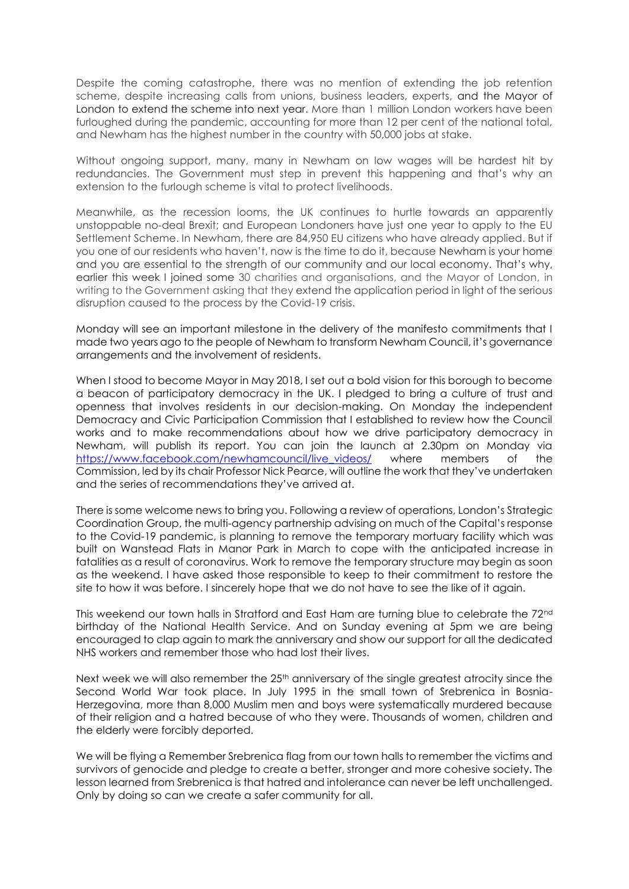Despite the coming catastrophe, there was no mention of extending the job retention scheme, despite increasing calls from unions, business leaders, experts, and the Mayor of London to extend the scheme into next year. More than 1 million London workers have been furloughed during the pandemic, accounting for more than 12 per cent of the national total, and Newham has the highest number in the country with 50,000 jobs at stake.

Without ongoing support, many, many in Newham on low wages will be hardest hit by redundancies. The Government must step in prevent this happening and that's why an extension to the furlough scheme is vital to protect livelihoods.

Meanwhile, as the recession looms, the UK continues to hurtle towards an apparently unstoppable no-deal Brexit; and European Londoners have just one year to apply to the EU Settlement Scheme. In Newham, there are 84,950 EU citizens who have already applied. But if you one of our residents who haven't, now is the time to do it, because Newham is your home and you are essential to the strength of our community and our local economy. That's why, earlier this week I joined some 30 charities and organisations, and the Mayor of London, in writing to the Government asking that they extend the application period in light of the serious disruption caused to the process by the Covid-19 crisis.

Monday will see an important milestone in the delivery of the manifesto commitments that I made two years ago to the people of Newham to transform Newham Council, it's governance arrangements and the involvement of residents.

When I stood to become Mayor in May 2018, I set out a bold vision for this borough to become a beacon of participatory democracy in the UK. I pledged to bring a culture of trust and openness that involves residents in our decision-making. On Monday the independent Democracy and Civic Participation Commission that I established to review how the Council works and to make recommendations about how we drive participatory democracy in Newham, will publish its report. You can join the launch at 2.30pm on Monday via [https://www.facebook.com/newhamcouncil/live\\_videos/](https://www.facebook.com/newhamcouncil/live_videos/) where members of the Commission, led by its chair Professor Nick Pearce, will outline the work that they've undertaken and the series of recommendations they've arrived at.

There is some welcome news to bring you. Following a review of operations, London's Strategic Coordination Group, the multi-agency partnership advising on much of the Capital's response to the Covid-19 pandemic, is planning to remove the temporary mortuary facility which was built on Wanstead Flats in Manor Park in March to cope with the anticipated increase in fatalities as a result of coronavirus. Work to remove the temporary structure may begin as soon as the weekend. I have asked those responsible to keep to their commitment to restore the site to how it was before. I sincerely hope that we do not have to see the like of it again.

This weekend our town halls in Stratford and East Ham are turning blue to celebrate the 72<sup>nd</sup> birthday of the National Health Service. And on Sunday evening at 5pm we are being encouraged to clap again to mark the anniversary and show our support for all the dedicated NHS workers and remember those who had lost their lives.

Next week we will also remember the 25<sup>th</sup> anniversary of the single greatest atrocity since the Second World War took place. In July 1995 in the small town of Srebrenica in Bosnia-Herzegovina, more than 8,000 Muslim men and boys were systematically murdered because of their religion and a hatred because of who they were. Thousands of women, children and the elderly were forcibly deported.

We will be flying a Remember Srebrenica flag from our town halls to remember the victims and survivors of genocide and pledge to create a better, stronger and more cohesive society. The lesson learned from Srebrenica is that hatred and intolerance can never be left unchallenged. Only by doing so can we create a safer community for all.